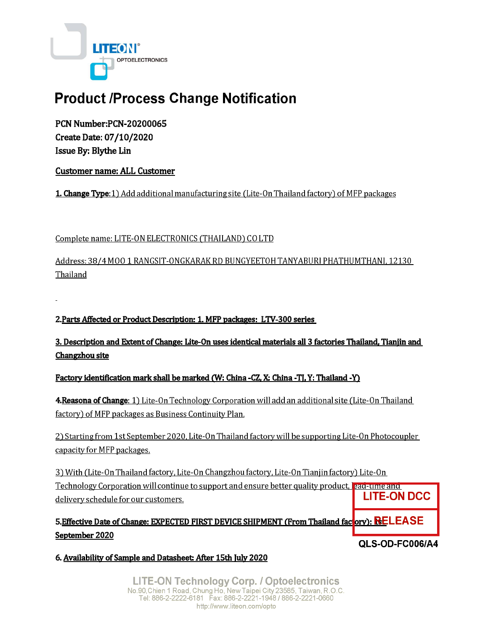

# **Product /Process Change Notification**

**PCN Number:PCN-20200065** Create Date: 07/10/2020 Issue By: Blythe Lin

**Customer name: ALL Customer** 

**1. Change Type:** 1) Add additional manufacturing site (Lite-On Thailand factory) of MFP packages

Complete name: LITE-ON ELECTRONICS (THAILAND) CO LTD

Address: 38/4 MOO 1 RANGSIT-ONGKARAK RD BUNGYEETOH TANYABURI PHATHUMTHANI, 12130 Thailand

2. Parts Affected or Product Description: 1. MFP packages: LTV-300 series

3. Description and Extent of Change: Lite-On uses identical materials all 3 factories Thailand, Tianjin and Changzhou site

Factory identification mark shall be marked (W: China -CZ, X: China -TJ, Y: Thailand -Y)

4. Reasona of Change: 1) Lite-On Technology Corporation will add an additional site (Lite-On Thailand factory) of MFP packages as Business Continuity Plan.

2) Starting from 1st September 2020, Lite-On Thailand factory will be supporting Lite-On Photocoupler capacity for MFP packages.

3) With (Lite-On Thailand factory, Lite-On Changzhou factory, Lite-On Tianjin factory) Lite-On Technology Corporation will continue to support and ensure better quality product, each time and **LITE-ON DCC** delivery schedule for our customers.

5. Effective Date of Change: EXPECTED FIRST DEVICE SHIPMENT (From Thailand factory): RELEASE September 2020 QLS-OD-FC006/A4

6. Availability of Sample and Datasheet: After 15th July 2020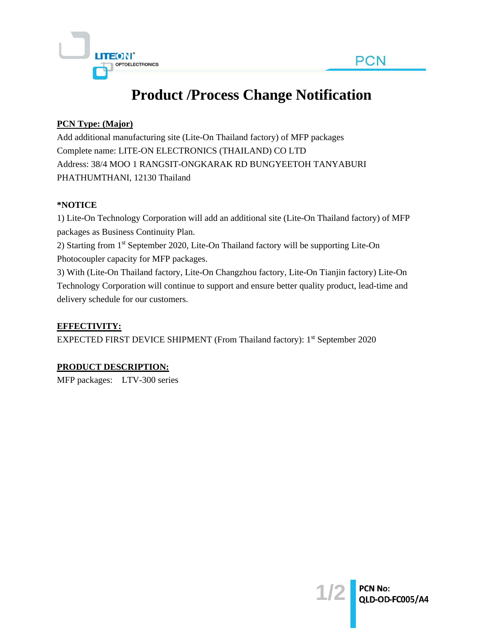

# **Product /Process Change Notification**

#### **PCN Type: (Major)**

Add additional manufacturing site (Lite-On Thailand factory) of MFP packages Complete name: LITE-ON ELECTRONICS (THAILAND) CO LTD Address: 38/4 MOO 1 RANGSIT-ONGKARAK RD BUNGYEETOH TANYABURI PHATHUMTHANI, 12130 Thailand

#### **\*NOTICE**

1) Lite-On Technology Corporation will add an additional site (Lite-On Thailand factory) of MFP packages as Business Continuity Plan. 2) Starting from 1st September 2020, Lite-On Thailand factory will be supporting Lite-On Photocoupler capacity for MFP packages. 3) With (Lite-On Thailand factory, Lite-On Changzhou factory, Lite-On Tianjin factory) Lite-On

Technology Corporation will continue to support and ensure better quality product, lead-time and delivery schedule for our customers.

## **EFFECTIVITY:**

EXPECTED FIRST DEVICE SHIPMENT (From Thailand factory): 1<sup>st</sup> September 2020

## **PRODUCT DESCRIPTION:**

MFP packages: LTV-300 series

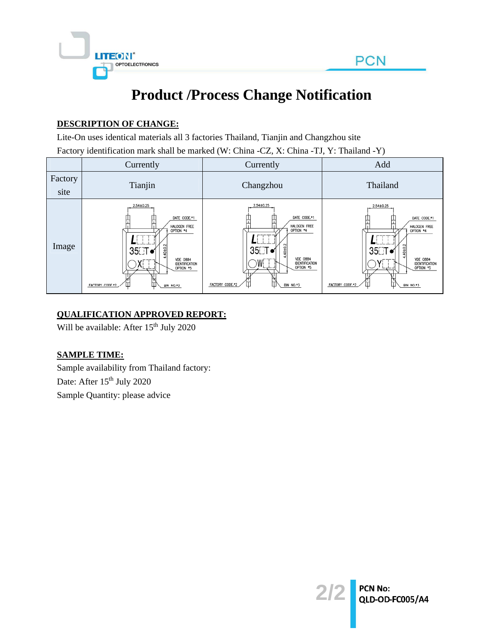

# **Product /Process Change Notification**

#### **DESCRIPTION OF CHANGE:**

Lite-On uses identical materials all 3 factories Thailand, Tianjin and Changzhou site

Factory identification mark shall be marked (W: China -CZ, X: China -TJ, Y: Thailand -Y)

|                 | Currently                                                                                                                                                             | Currently                                                                                                                                                            | Add                                                                                                                                                                |
|-----------------|-----------------------------------------------------------------------------------------------------------------------------------------------------------------------|----------------------------------------------------------------------------------------------------------------------------------------------------------------------|--------------------------------------------------------------------------------------------------------------------------------------------------------------------|
| Factory<br>site | Tianjin                                                                                                                                                               | Changzhou                                                                                                                                                            | Thailand                                                                                                                                                           |
| Image           | 2.54±0.25<br>DATE CODE.*1<br>HALOGEN FREE<br>OPTION *4<br>$\sim$<br>40±0.<br>35⊡T o<br><b>VDE 0884</b><br>IDENTIFICATION<br>OPTION *5<br>FACTORY CODE.*2<br>BIN NO.*3 | 2.54±0.25<br>DATE CODE.*1<br>HALOGEN FREE<br>OPTION *4<br>40±0<br>35⊟T o<br><b>VDE 0884</b><br>W<br>IDENTIFICATION<br>OPTION *5<br>Ш<br>FACTORY CODE.*2<br>BIN NO.*3 | $2.54 \pm 0.25$<br>DATE CODE.*1<br>HALOGEN FREE<br>OPTION *4<br>40±0.2<br>35⊟T o<br><b>VDE 0884</b><br>IDENTIFICATION<br>OPTION *5<br>FACTORY CODE.*2<br>BIN NO.*3 |

#### **QUALIFICATION APPROVED REPORT:**

Will be available: After 15<sup>th</sup> July 2020

## **SAMPLE TIME:**

Sample availability from Thailand factory: Date: After 15<sup>th</sup> July 2020 Sample Quantity: please advice